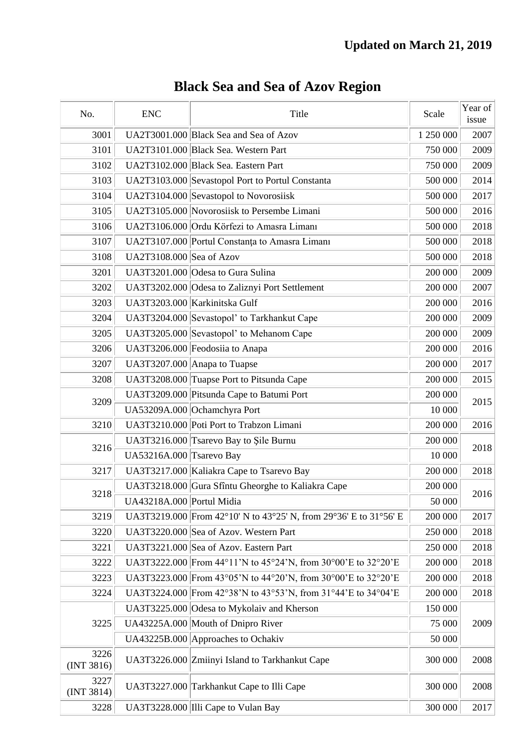| No.                | <b>ENC</b>                | Title                                                             | Scale     | Year of<br>issue |
|--------------------|---------------------------|-------------------------------------------------------------------|-----------|------------------|
| 3001               |                           | UA2T3001.000 Black Sea and Sea of Azov                            | 1 250 000 | 2007             |
| 3101               |                           | UA2T3101.000 Black Sea. Western Part                              | 750 000   | 2009             |
| 3102               |                           | UA2T3102.000 Black Sea. Eastern Part                              | 750 000   | 2009             |
| 3103               |                           | UA2T3103.000 Sevastopol Port to Portul Constanta                  | 500 000   | 2014             |
| 3104               |                           | UA2T3104.000 Sevastopol to Novorosiisk                            | 500 000   | 2017             |
| 3105               |                           | UA2T3105.000 Novorosiisk to Persembe Limani                       | 500 000   | 2016             |
| 3106               |                           | UA2T3106.000 Ordu Körfezi to Amasra Limani                        | 500 000   | 2018             |
| 3107               |                           | UA2T3107.000 Portul Constanța to Amasra Limani                    | 500 000   | 2018             |
| 3108               | UA2T3108.000 Sea of Azov  |                                                                   | 500 000   | 2018             |
| 3201               |                           | UA3T3201.000 Odesa to Gura Sulina                                 | 200 000   | 2009             |
| 3202               |                           | UA3T3202.000 Odesa to Zaliznyi Port Settlement                    | 200 000   | 2007             |
| 3203               |                           | UA3T3203.000 Karkinitska Gulf                                     | 200 000   | 2016             |
| 3204               |                           | UA3T3204.000 Sevastopol' to Tarkhankut Cape                       | 200 000   | 2009             |
| 3205               |                           | UA3T3205.000 Sevastopol' to Mehanom Cape                          | 200 000   | 2009             |
| 3206               |                           | UA3T3206.000 Feodosiia to Anapa                                   | 200 000   | 2016             |
| 3207               |                           | UA3T3207.000 Anapa to Tuapse                                      | 200 000   | 2017             |
| 3208               |                           | UA3T3208.000 Tuapse Port to Pitsunda Cape                         | 200 000   | 2015             |
|                    |                           | UA3T3209.000 Pitsunda Cape to Batumi Port                         | 200 000   |                  |
| 3209               |                           | UA53209A.000 Ochamchyra Port                                      | 10 000    | 2015             |
| 3210               |                           | UA3T3210.000 Poti Port to Trabzon Limani                          | 200 000   | 2016             |
| 3216               |                           | UA3T3216.000 Tsarevo Bay to Şile Burnu                            | 200 000   |                  |
|                    | UA53216A.000 Tsarevo Bay  |                                                                   | 10 000    | 2018             |
| 3217               |                           | UA3T3217.000 Kaliakra Cape to Tsarevo Bay                         | 200 000   | 2018             |
|                    |                           | UA3T3218.000 Gura Sfîntu Gheorghe to Kaliakra Cape                | 200 000   |                  |
| 3218               | UA43218A.000 Portul Midia |                                                                   | 50 000    | 2016             |
| 3219               |                           | UA3T3219.000 From 42°10' N to 43°25' N, from 29°36' E to 31°56' E | 200 000   | 2017             |
| 3220               |                           | UA3T3220.000 Sea of Azov. Western Part                            | 250 000   | 2018             |
| 3221               |                           | UA3T3221.000 Sea of Azov. Eastern Part                            | 250 000   | 2018             |
| 3222               |                           | UA3T3222.000 From 44°11'N to 45°24'N, from 30°00'E to 32°20'E     | 200 000   | 2018             |
| 3223               |                           | UA3T3223.000 From 43°05'N to 44°20'N, from 30°00'E to 32°20'E     | 200 000   | 2018             |
| 3224               |                           | UA3T3224.000 From 42°38'N to 43°53'N, from 31°44'E to 34°04'E     | 200 000   | 2018             |
|                    |                           | UA3T3225.000 Odesa to Mykolaiv and Kherson                        | 150 000   |                  |
| 3225               |                           | UA43225A.000 Mouth of Dnipro River                                | 75 000    | 2009             |
|                    |                           | UA43225B.000 Approaches to Ochakiv                                | 50 000    |                  |
| 3226<br>(INT 3816) |                           | UA3T3226.000 Zmiinyi Island to Tarkhankut Cape                    | 300 000   | 2008             |
| 3227<br>(INT 3814) |                           | UA3T3227.000 Tarkhankut Cape to Illi Cape                         | 300 000   | 2008             |
| 3228               |                           | UA3T3228.000 Illi Cape to Vulan Bay                               | 300 000   | 2017             |

## **Black Sea and Sea of Azov Region**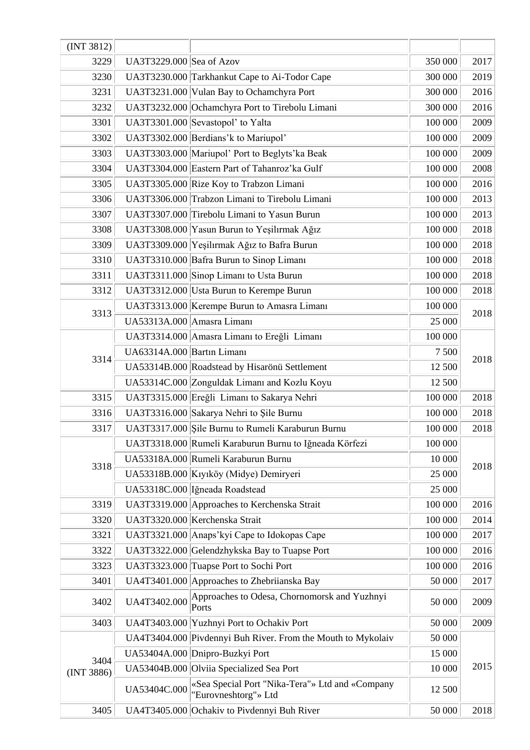| (INT 3812)         |                            |                                                                         |         |      |
|--------------------|----------------------------|-------------------------------------------------------------------------|---------|------|
| 3229               | UA3T3229.000 Sea of Azov   |                                                                         | 350 000 | 2017 |
| 3230               |                            | UA3T3230.000 Tarkhankut Cape to Ai-Todor Cape                           | 300 000 | 2019 |
| 3231               |                            | UA3T3231.000 Vulan Bay to Ochamchyra Port                               | 300 000 | 2016 |
| 3232               |                            | UA3T3232.000 Ochamchyra Port to Tirebolu Limani                         | 300 000 | 2016 |
| 3301               |                            | UA3T3301.000 Sevastopol' to Yalta                                       | 100 000 | 2009 |
| 3302               |                            | UA3T3302.000 Berdians'k to Mariupol'                                    | 100 000 | 2009 |
| 3303               |                            | UA3T3303.000 Mariupol' Port to Beglyts'ka Beak                          | 100 000 | 2009 |
| 3304               |                            | UA3T3304.000 Eastern Part of Tahanroz'ka Gulf                           | 100 000 | 2008 |
| 3305               |                            | UA3T3305.000 Rize Koy to Trabzon Limani                                 | 100 000 | 2016 |
| 3306               |                            | UA3T3306.000 Trabzon Limani to Tirebolu Limani                          | 100 000 | 2013 |
| 3307               |                            | UA3T3307.000 Tirebolu Limani to Yasun Burun                             | 100 000 | 2013 |
| 3308               |                            | UA3T3308.000 Yasun Burun to Yeşilırmak Ağız                             | 100 000 | 2018 |
| 3309               |                            | UA3T3309.000 Yeşilırmak Ağız to Bafra Burun                             | 100 000 | 2018 |
| 3310               |                            | UA3T3310.000 Bafra Burun to Sinop Limani                                | 100 000 | 2018 |
| 3311               |                            | UA3T3311.000 Sinop Limanı to Usta Burun                                 | 100 000 | 2018 |
| 3312               |                            | UA3T3312.000 Usta Burun to Kerempe Burun                                | 100 000 | 2018 |
|                    |                            | UA3T3313.000 Kerempe Burun to Amasra Limani                             | 100 000 |      |
| 3313               | UA53313A.000 Amasra Limani |                                                                         | 25 000  | 2018 |
|                    |                            | UA3T3314.000 Amasra Limanı to Ereğli Limanı                             | 100 000 |      |
|                    | UA63314A.000 Bartın Limanı |                                                                         | 7 500   |      |
| 3314               |                            | UA53314B.000 Roadstead by Hisarönü Settlement                           | 12 500  | 2018 |
|                    |                            | UA53314C.000 Zonguldak Limanı and Kozlu Koyu                            | 12 500  |      |
| 3315               |                            | UA3T3315.000 Ereğli Limanı to Sakarya Nehri                             | 100 000 | 2018 |
| 3316               |                            | UA3T3316.000 Sakarya Nehri to Şile Burnu                                | 100 000 | 2018 |
| 3317               |                            | UA3T3317.000 Sile Burnu to Rumeli Karaburun Burnu                       | 100 000 | 2018 |
|                    |                            | UA3T3318.000 Rumeli Karaburun Burnu to Iğneada Körfezi                  | 100 000 |      |
|                    |                            | UA53318A.000 Rumeli Karaburun Burnu                                     | 10 000  |      |
| 3318               |                            | UA53318B.000 Kıyıköy (Midye) Demiryeri                                  | 25 000  | 2018 |
|                    |                            | UA53318C.000 Iğneada Roadstead                                          | 25 000  |      |
| 3319               |                            | UA3T3319.000 Approaches to Kerchenska Strait                            | 100 000 | 2016 |
| 3320               |                            | UA3T3320.000 Kerchenska Strait                                          | 100 000 | 2014 |
| 3321               |                            | UA3T3321.000 Anaps'kyi Cape to Idokopas Cape                            | 100 000 | 2017 |
| 3322               |                            | UA3T3322.000 Gelendzhykska Bay to Tuapse Port                           | 100 000 | 2016 |
| 3323               |                            | UA3T3323.000 Tuapse Port to Sochi Port                                  | 100 000 | 2016 |
| 3401               |                            | UA4T3401.000 Approaches to Zhebriianska Bay                             | 50 000  | 2017 |
| 3402               | UA4T3402.000               | Approaches to Odesa, Chornomorsk and Yuzhnyi<br>Ports                   | 50 000  | 2009 |
| 3403               |                            | UA4T3403.000 Yuzhnyi Port to Ochakiv Port                               | 50 000  | 2009 |
|                    |                            | UA4T3404.000 Pivdennyi Buh River. From the Mouth to Mykolaiv            | 50 000  |      |
|                    |                            | UA53404A.000 Dnipro-Buzkyi Port                                         | 15 000  |      |
| 3404<br>(INT 3886) |                            | UA53404B.000 Olviia Specialized Sea Port                                | 10 000  | 2015 |
|                    | UA53404C.000               | «Sea Special Port "Nika-Tera"» Ltd and «Company<br>"Eurovneshtorg"» Ltd | 12 500  |      |
| 3405               |                            | UA4T3405.000 Ochakiv to Pivdennyi Buh River                             | 50 000  | 2018 |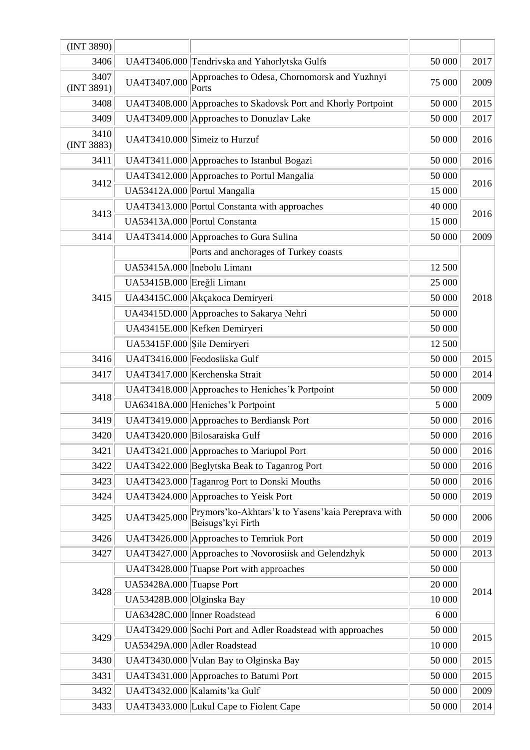| (INT 3890)         |                             |                                                                             |         |      |
|--------------------|-----------------------------|-----------------------------------------------------------------------------|---------|------|
| 3406               |                             | UA4T3406.000 Tendrivska and Yahorlytska Gulfs                               | 50 000  | 2017 |
| 3407<br>(INT 3891) | UA4T3407.000                | Approaches to Odesa, Chornomorsk and Yuzhnyi<br>Ports                       | 75 000  | 2009 |
| 3408               |                             | UA4T3408.000 Approaches to Skadovsk Port and Khorly Portpoint               | 50 000  | 2015 |
| 3409               |                             | UA4T3409.000 Approaches to Donuzlav Lake                                    | 50 000  | 2017 |
| 3410<br>(INT 3883) |                             | UA4T3410.000 Simeiz to Hurzuf                                               | 50 000  | 2016 |
| 3411               |                             | UA4T3411.000 Approaches to Istanbul Bogazi                                  | 50 000  | 2016 |
| 3412               |                             | UA4T3412.000 Approaches to Portul Mangalia                                  | 50 000  | 2016 |
|                    |                             | UA53412A.000 Portul Mangalia                                                | 15 000  |      |
| 3413               |                             | UA4T3413.000 Portul Constanta with approaches                               | 40 000  | 2016 |
|                    |                             | UA53413A.000 Portul Constanta                                               | 15 000  |      |
| 3414               |                             | UA4T3414.000 Approaches to Gura Sulina                                      | 50 000  | 2009 |
|                    |                             | Ports and anchorages of Turkey coasts                                       |         |      |
|                    | UA53415A.000 Inebolu Limanı |                                                                             | 12 500  |      |
|                    | UA53415B.000 Ereğli Limanı  |                                                                             | 25 000  |      |
| 3415               |                             | UA43415C.000 Akçakoca Demiryeri                                             | 50 000  | 2018 |
|                    |                             | UA43415D.000 Approaches to Sakarya Nehri                                    | 50 000  |      |
|                    |                             | UA43415E.000 Kefken Demiryeri                                               | 50 000  |      |
|                    | UA53415F.000 Sile Demiryeri |                                                                             | 12 500  |      |
| 3416               |                             | UA4T3416.000 Feodosiiska Gulf                                               | 50 000  | 2015 |
| 3417               |                             | UA4T3417.000 Kerchenska Strait                                              | 50 000  | 2014 |
|                    |                             | UA4T3418.000 Approaches to Heniches' k Portpoint                            | 50 000  |      |
| 3418               |                             | UA63418A.000 Heniches' k Portpoint                                          | 5 000   | 2009 |
| 3419               |                             | UA4T3419.000 Approaches to Berdiansk Port                                   | 50 000  | 2016 |
| 3420               |                             | UA4T3420.000 Bilosaraiska Gulf                                              | 50 000  | 2016 |
| 3421               |                             | UA4T3421.000 Approaches to Mariupol Port                                    | 50 000  | 2016 |
| 3422               |                             | UA4T3422.000 Beglytska Beak to Taganrog Port                                | 50 000  | 2016 |
| 3423               |                             | UA4T3423.000 Taganrog Port to Donski Mouths                                 | 50 000  | 2016 |
| 3424               |                             | UA4T3424.000 Approaches to Yeisk Port                                       | 50 000  | 2019 |
| 3425               | UA4T3425.000                | Prymors' ko-Akhtars' k to Yasens' kaia Pereprava with<br>Beisugs' kyi Firth | 50 000  | 2006 |
| 3426               |                             | UA4T3426.000 Approaches to Temriuk Port                                     | 50 000  | 2019 |
| 3427               |                             | UA4T3427.000 Approaches to Novorosiisk and Gelendzhyk                       | 50 000  | 2013 |
|                    |                             | UA4T3428.000 Tuapse Port with approaches                                    | 50 000  |      |
|                    | UA53428A.000 Tuapse Port    |                                                                             | 20 000  |      |
| 3428               | UA53428B.000 Olginska Bay   |                                                                             | 10 000  | 2014 |
|                    |                             | UA63428C.000 Inner Roadstead                                                | 6 0 0 0 |      |
|                    |                             | UA4T3429.000 Sochi Port and Adler Roadstead with approaches                 | 50 000  |      |
| 3429               |                             | UA53429A.000 Adler Roadstead                                                | 10 000  | 2015 |
| 3430               |                             | UA4T3430.000 Vulan Bay to Olginska Bay                                      | 50 000  | 2015 |
| 3431               |                             | UA4T3431.000 Approaches to Batumi Port                                      | 50 000  | 2015 |
| 3432               |                             | UA4T3432.000 Kalamits' ka Gulf                                              | 50 000  | 2009 |
| 3433               |                             | UA4T3433.000 Lukul Cape to Fiolent Cape                                     | 50 000  | 2014 |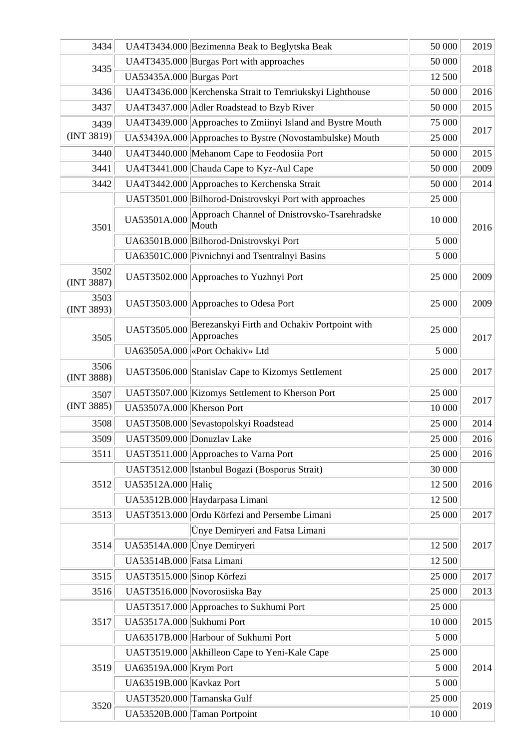| 3434               |                            | UA4T3434.000 Bezimenna Beak to Beglytska Beak              | 50 000 | 2019 |
|--------------------|----------------------------|------------------------------------------------------------|--------|------|
| 3435               |                            | UA4T3435.000 Burgas Port with approaches                   | 50 000 | 2018 |
|                    | UA53435A.000 Burgas Port   |                                                            | 12 500 |      |
| 3436               |                            | UA4T3436.000 Kerchenska Strait to Temriukskyi Lighthouse   | 50 000 | 2016 |
| 3437               |                            | UA4T3437.000 Adler Roadstead to Bzyb River                 | 50 000 | 2015 |
| 3439               |                            | UA4T3439.000 Approaches to Zmiinyi Island and Bystre Mouth | 75 000 | 2017 |
| (INT 3819)         |                            | UA53439A.000 Approaches to Bystre (Novostambulske) Mouth   | 25 000 |      |
| 3440               |                            | UA4T3440.000 Mehanom Cape to Feodosiia Port                | 50 000 | 2015 |
| 3441               |                            | UA4T3441.000 Chauda Cape to Kyz-Aul Cape                   | 50 000 | 2009 |
| 3442               |                            | UA4T3442.000 Approaches to Kerchenska Strait               | 50 000 | 2014 |
|                    |                            | UA5T3501.000 Bilhorod-Dnistrovskyi Port with approaches    | 25 000 |      |
| 3501               | UA53501A.000               | Approach Channel of Dnistrovsko-Tsarehradske<br>Mouth      | 10 000 | 2016 |
|                    |                            | UA63501B.000 Bilhorod-Dnistrovskyi Port                    | 5 000  |      |
|                    |                            | UA63501C.000 Pivnichnyi and Tsentralnyi Basins             | 5 000  |      |
| 3502<br>(INT 3887) |                            | UA5T3502.000 Approaches to Yuzhnyi Port                    | 25 000 | 2009 |
| 3503<br>(INT 3893) |                            | UA5T3503.000 Approaches to Odesa Port                      | 25 000 | 2009 |
| 3505               | UA5T3505.000               | Berezanskyi Firth and Ochakiv Portpoint with<br>Approaches | 25 000 | 2017 |
|                    |                            | UA63505A.000 &Port Ochakiv» Ltd                            | 5 000  |      |
| 3506<br>(INT 3888) |                            | UA5T3506.000 Stanislav Cape to Kizomys Settlement          | 25 000 | 2017 |
| 3507               |                            | UA5T3507.000 Kizomys Settlement to Kherson Port            | 25 000 |      |
| (INT 3885)         | UA53507A.000 Kherson Port  |                                                            | 10 000 | 2017 |
| 3508               |                            | UA5T3508.000 Sevastopolskyi Roadstead                      | 25 000 | 2014 |
| 3509               | UA5T3509.000 Donuzlav Lake |                                                            | 25 000 | 2016 |
| 3511               |                            | UA5T3511.000 Approaches to Varna Port                      | 25 000 | 2016 |
|                    |                            | UA5T3512.000 Istanbul Bogazi (Bosporus Strait)             | 30 000 |      |
| 3512               | UA53512A.000 Halic         |                                                            | 12 500 | 2016 |
|                    |                            | UA53512B.000 Haydarpasa Limani                             | 12 500 |      |
| 3513               |                            | UA5T3513.000 Ordu Körfezi and Persembe Limani              | 25 000 | 2017 |
|                    |                            | Ünye Demiryeri and Fatsa Limani                            |        |      |
| 3514               |                            | UA53514A.000 Ünye Demiryeri                                | 12 500 | 2017 |
|                    | UA53514B.000 Fatsa Limani  |                                                            | 12 500 |      |
| 3515               | UA5T3515.000 Sinop Körfezi |                                                            | 25 000 | 2017 |
| 3516               |                            | UA5T3516.000 Novorosiiska Bay                              | 25 000 | 2013 |
|                    |                            | UA5T3517.000 Approaches to Sukhumi Port                    | 25 000 |      |
| 3517               | UA53517A.000 Sukhumi Port  |                                                            | 10 000 | 2015 |
|                    |                            | UA63517B.000 Harbour of Sukhumi Port                       | 5 000  |      |
|                    |                            | UA5T3519.000 Akhilleon Cape to Yeni-Kale Cape              | 25 000 |      |
| 3519               | UA63519A.000 Krym Port     |                                                            | 5 000  | 2014 |
|                    | UA63519B.000 Kavkaz Port   |                                                            | 5 000  |      |
|                    | UA5T3520.000 Tamanska Gulf |                                                            | 25 000 |      |
| 3520               |                            | UA53520B.000 Taman Portpoint                               | 10 000 | 2019 |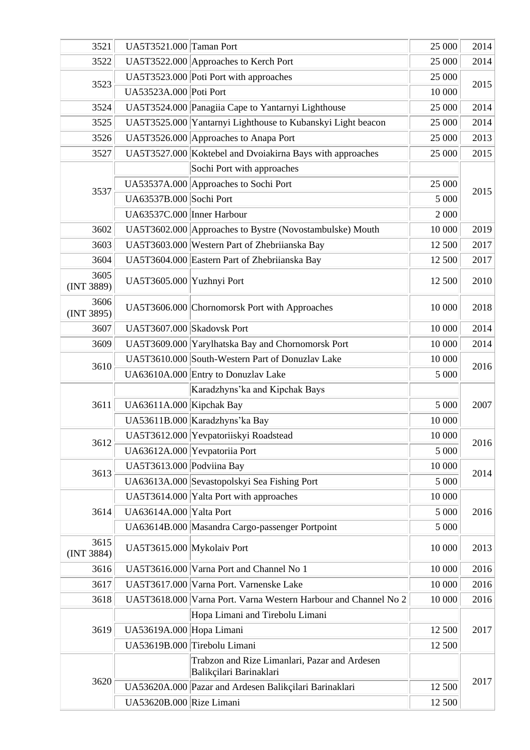| 3521               | UA5T3521.000 Taman Port    |                                                                          | 25 000  | 2014 |
|--------------------|----------------------------|--------------------------------------------------------------------------|---------|------|
| 3522               |                            | UA5T3522.000 Approaches to Kerch Port                                    | 25 000  | 2014 |
|                    |                            | UA5T3523.000 Poti Port with approaches                                   | 25 000  |      |
| 3523               | UA53523A.000 Poti Port     |                                                                          | 10 000  | 2015 |
| 3524               |                            | UA5T3524.000 Panagiia Cape to Yantarnyi Lighthouse                       | 25 000  | 2014 |
| 3525               |                            | UA5T3525.000 Yantarnyi Lighthouse to Kubanskyi Light beacon              | 25 000  | 2014 |
| 3526               |                            | UA5T3526.000 Approaches to Anapa Port                                    | 25 000  | 2013 |
| 3527               |                            | UA5T3527.000 Koktebel and Dvoiakirna Bays with approaches                | 25 000  | 2015 |
|                    |                            | Sochi Port with approaches                                               |         |      |
| 3537               |                            | UA53537A.000 Approaches to Sochi Port                                    | 25 000  | 2015 |
|                    | UA63537B.000 Sochi Port    |                                                                          | 5 000   |      |
|                    | UA63537C.000 Inner Harbour |                                                                          | 2 0 0 0 |      |
| 3602               |                            | UA5T3602.000 Approaches to Bystre (Novostambulske) Mouth                 | 10 000  | 2019 |
| 3603               |                            | UA5T3603.000 Western Part of Zhebriianska Bay                            | 12 500  | 2017 |
| 3604               |                            | UA5T3604.000 Eastern Part of Zhebriianska Bay                            | 12 500  | 2017 |
| 3605<br>(INT 3889) | UA5T3605.000 Yuzhnyi Port  |                                                                          | 12 500  | 2010 |
| 3606<br>(INT 3895) |                            | UA5T3606.000 Chornomorsk Port with Approaches                            | 10 000  | 2018 |
| 3607               | UA5T3607.000 Skadovsk Port |                                                                          | 10 000  | 2014 |
| 3609               |                            | UA5T3609.000 Yarylhatska Bay and Chornomorsk Port                        | 10 000  | 2014 |
|                    |                            | UA5T3610.000 South-Western Part of Donuzlav Lake                         | 10 000  |      |
| 3610               |                            | UA63610A.000 Entry to Donuzlav Lake                                      | 5 000   | 2016 |
|                    |                            | Karadzhyns'ka and Kipchak Bays                                           |         |      |
| 3611               | UA63611A.000 Kipchak Bay   |                                                                          | 5 000   | 2007 |
|                    |                            | UA53611B.000 Karadzhyns'ka Bay                                           | 10 000  |      |
|                    |                            | UA5T3612.000 Yevpatoriiskyi Roadstead                                    | 10 000  |      |
| 3612               |                            | UA63612A.000 Yevpatoriia Port                                            | 5 000   | 2016 |
|                    | UA5T3613.000 Podviina Bay  |                                                                          | 10 000  |      |
| 3613               |                            | UA63613A.000 Sevastopolskyi Sea Fishing Port                             | 5 000   | 2014 |
|                    |                            | UA5T3614.000 Yalta Port with approaches                                  | 10 000  |      |
| 3614               | UA63614A.000 Yalta Port    |                                                                          | 5 000   | 2016 |
|                    |                            | UA63614B.000 Masandra Cargo-passenger Portpoint                          | 5 0 0 0 |      |
| 3615<br>(INT 3884) | UA5T3615.000 Mykolaiv Port |                                                                          | 10 000  | 2013 |
| 3616               |                            | UA5T3616.000 Varna Port and Channel No 1                                 | 10 000  | 2016 |
| 3617               |                            | UA5T3617.000 Varna Port. Varnenske Lake                                  | 10 000  | 2016 |
| 3618               |                            | UA5T3618.000 Varna Port. Varna Western Harbour and Channel No 2          | 10 000  | 2016 |
|                    |                            | Hopa Limani and Tirebolu Limani                                          |         |      |
| 3619               | UA53619A.000 Hopa Limani   |                                                                          | 12 500  | 2017 |
|                    |                            | UA53619B.000 Tirebolu Limani                                             | 12 500  |      |
|                    |                            | Trabzon and Rize Limanlari, Pazar and Ardesen<br>Balikçilari Barinaklari |         |      |
| 3620               |                            | UA53620A.000 Pazar and Ardesen Balikçilari Barinaklari                   | 12 500  | 2017 |
|                    | UA53620B.000 Rize Limani   |                                                                          | 12 500  |      |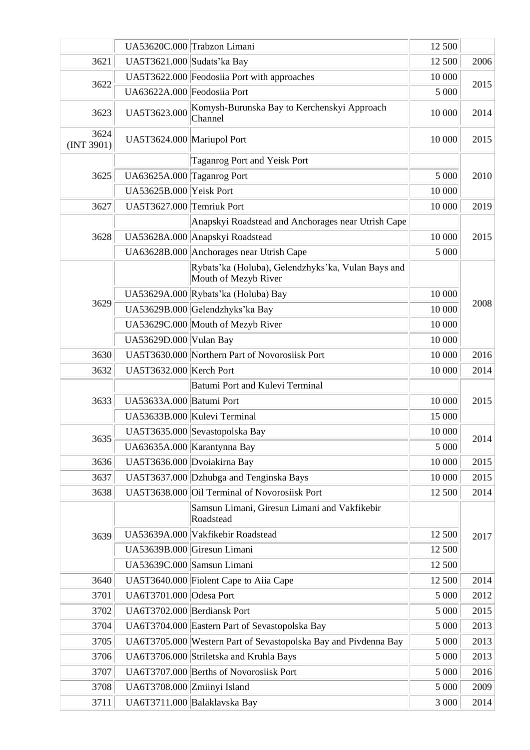|                    |                             | UA53620C.000 Trabzon Limani                                                | 12 500 |      |
|--------------------|-----------------------------|----------------------------------------------------------------------------|--------|------|
| 3621               | UA5T3621.000 Sudats' ka Bay |                                                                            | 12 500 | 2006 |
|                    |                             | UA5T3622.000 Feodosiia Port with approaches                                | 10 000 |      |
| 3622               | UA63622A.000 Feodosiia Port |                                                                            | 5 000  | 2015 |
| 3623               | UA5T3623.000                | Komysh-Burunska Bay to Kerchenskyi Approach<br>Channel                     | 10 000 | 2014 |
| 3624<br>(INT 3901) | UA5T3624.000 Mariupol Port  |                                                                            | 10 000 | 2015 |
|                    |                             | Taganrog Port and Yeisk Port                                               |        |      |
| 3625               | UA63625A.000 Taganrog Port  |                                                                            | 5 000  | 2010 |
|                    | UA53625B.000 Yeisk Port     |                                                                            | 10 000 |      |
| 3627               | UA5T3627.000 Temriuk Port   |                                                                            | 10 000 | 2019 |
|                    |                             | Anapskyi Roadstead and Anchorages near Utrish Cape                         |        |      |
| 3628               |                             | UA53628A.000 Anapskyi Roadstead                                            | 10 000 | 2015 |
|                    |                             | UA63628B.000 Anchorages near Utrish Cape                                   | 5 000  |      |
|                    |                             | Rybats'ka (Holuba), Gelendzhyks'ka, Vulan Bays and<br>Mouth of Mezyb River |        |      |
|                    |                             | UA53629A.000 Rybats'ka (Holuba) Bay                                        | 10 000 |      |
| 3629               |                             | UA53629B.000 Gelendzhyks'ka Bay                                            | 10 000 | 2008 |
|                    |                             | UA53629C.000 Mouth of Mezyb River                                          | 10 000 |      |
|                    | UA53629D.000 Vulan Bay      |                                                                            | 10 000 |      |
| 3630               |                             | UA5T3630.000 Northern Part of Novorosiisk Port                             | 10 000 | 2016 |
| 3632               | UA5T3632.000 Kerch Port     |                                                                            | 10 000 | 2014 |
|                    |                             | Batumi Port and Kulevi Terminal                                            |        |      |
| 3633               | UA53633A.000 Batumi Port    |                                                                            | 10 000 | 2015 |
|                    |                             | UA53633B.000 Kulevi Terminal                                               | 15 000 |      |
| 3635               |                             | UA5T3635.000 Sevastopolska Bay                                             | 10 000 | 2014 |
|                    |                             | UA63635A.000 Karantynna Bay                                                | 5 000  |      |
| 3636               |                             | UA5T3636.000 Dvoiakirna Bay                                                | 10 000 | 2015 |
| 3637               |                             | UA5T3637.000 Dzhubga and Tenginska Bays                                    | 10 000 | 2015 |
| 3638               |                             | UA5T3638.000 Oil Terminal of Novorosiisk Port                              | 12 500 | 2014 |
|                    |                             | Samsun Limani, Giresun Limani and Vakfikebir<br>Roadstead                  |        |      |
| 3639               |                             | UA53639A.000 Vakfikebir Roadstead                                          | 12 500 | 2017 |
|                    |                             | UA53639B.000 Giresun Limani                                                | 12 500 |      |
|                    |                             | UA53639C.000 Samsun Limani                                                 | 12 500 |      |
| 3640               |                             | UA5T3640.000 Fiolent Cape to Aiia Cape                                     | 12 500 | 2014 |
| 3701               | UA6T3701.000 Odesa Port     |                                                                            | 5 000  | 2012 |
| 3702               | UA6T3702.000 Berdiansk Port |                                                                            | 5 000  | 2015 |
| 3704               |                             | UA6T3704.000 Eastern Part of Sevastopolska Bay                             | 5 000  | 2013 |
| 3705               |                             | UA6T3705.000 Western Part of Sevastopolska Bay and Pivdenna Bay            | 5 000  | 2013 |
| 3706               |                             | UA6T3706.000 Striletska and Kruhla Bays                                    | 5 000  | 2013 |
| 3707               |                             | UA6T3707.000 Berths of Novorosiisk Port                                    | 5 000  | 2016 |
| 3708               | UA6T3708.000 Zmiinyi Island |                                                                            | 5 000  | 2009 |
| 3711               |                             | UA6T3711.000 Balaklavska Bay                                               | 3 000  | 2014 |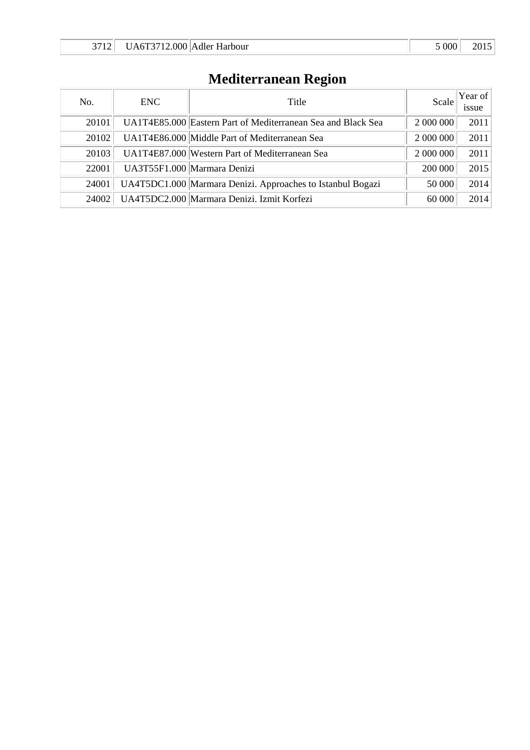## **Mediterranean Region**

| No.   | ENC. | Title                                                        | Scale     | Year of $ $<br><i>ssue</i> |
|-------|------|--------------------------------------------------------------|-----------|----------------------------|
| 20101 |      | UA1T4E85.000 Eastern Part of Mediterranean Sea and Black Sea | 2 000 000 | 2011                       |
| 20102 |      | UA1T4E86.000 Middle Part of Mediterranean Sea                | 2 000 000 | 2011                       |
| 20103 |      | UA1T4E87.000 Western Part of Mediterranean Sea               | 2 000 000 | 2011                       |
| 22001 |      | UA3T55F1.000 Marmara Denizi                                  | 200 000   | 2015                       |
| 24001 |      | UA4T5DC1.000 Marmara Denizi. Approaches to Istanbul Bogazi   | 50 000    | 2014                       |
| 24002 |      | UA4T5DC2.000 Marmara Denizi. Izmit Korfezi                   | 60 000    | 2014                       |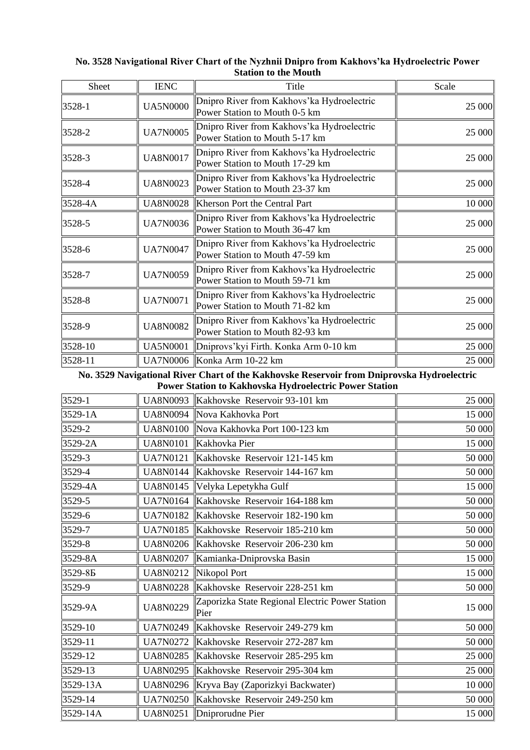| Sheet   | <b>IENC</b>     | Title                                                                          | Scale  |
|---------|-----------------|--------------------------------------------------------------------------------|--------|
| 3528-1  | <b>UA5N0000</b> | Dnipro River from Kakhovs' ka Hydroelectric<br>Power Station to Mouth 0-5 km   | 25 000 |
| 3528-2  | <b>UA7N0005</b> | Dnipro River from Kakhovs' ka Hydroelectric<br>Power Station to Mouth 5-17 km  | 25 000 |
| 3528-3  | <b>UA8N0017</b> | Dnipro River from Kakhovs' ka Hydroelectric<br>Power Station to Mouth 17-29 km | 25 000 |
| 3528-4  | <b>UA8N0023</b> | Dnipro River from Kakhovs' ka Hydroelectric<br>Power Station to Mouth 23-37 km | 25 000 |
| 3528-4A | <b>UA8N0028</b> | Kherson Port the Central Part                                                  | 10 000 |
| 3528-5  | <b>UA7N0036</b> | Dnipro River from Kakhovs' ka Hydroelectric<br>Power Station to Mouth 36-47 km | 25 000 |
| 3528-6  | <b>UA7N0047</b> | Dnipro River from Kakhovs' ka Hydroelectric<br>Power Station to Mouth 47-59 km | 25 000 |
| 3528-7  | <b>UA7N0059</b> | Dnipro River from Kakhovs' ka Hydroelectric<br>Power Station to Mouth 59-71 km | 25 000 |
| 3528-8  | <b>UA7N0071</b> | Dnipro River from Kakhovs' ka Hydroelectric<br>Power Station to Mouth 71-82 km | 25 000 |
| 3528-9  | <b>UA8N0082</b> | Dnipro River from Kakhovs' ka Hydroelectric<br>Power Station to Mouth 82-93 km | 25 000 |
| 3528-10 | <b>UA5N0001</b> | Dniprovs' kyi Firth. Konka Arm 0-10 km                                         | 25 000 |
| 3528-11 | <b>UA7N0006</b> | Konka Arm 10-22 km                                                             | 25 000 |

## **No. 3528 Navigational River Chart of the Nyzhnii Dnipro from Kakhovs'ka Hydroelectric Power Station to the Mouth**

**No. 3529 Navigational River Chart of the Kakhovske Reservoir from Dniprovska Hydroelectric Power Station to Kakhovska Hydroelectric Power Station**

|          |                 | r ower paation to raininovina rry aroeiectric r ower paation |        |
|----------|-----------------|--------------------------------------------------------------|--------|
| 3529-1   | <b>UA8N0093</b> | Kakhovske Reservoir 93-101 km                                | 25 000 |
| 3529-1A  |                 | UA8N0094   Nova Kakhovka Port                                | 15 000 |
| 3529-2   |                 | UA8N0100   Nova Kakhovka Port 100-123 km                     | 50 000 |
| 3529-2A  | <b>UA8N0101</b> | Kakhovka Pier                                                | 15 000 |
| 3529-3   | <b>UA7N0121</b> | Kakhovske Reservoir 121-145 km                               | 50 000 |
| 3529-4   | <b>UA8N0144</b> | Kakhovske Reservoir 144-167 km                               | 50 000 |
| 3529-4A  | <b>UA8N0145</b> | Velyka Lepetykha Gulf                                        | 15 000 |
| 3529-5   | <b>UA7N0164</b> | Kakhovske Reservoir 164-188 km                               | 50 000 |
| 3529-6   | <b>UA7N0182</b> | Kakhovske Reservoir 182-190 km                               | 50 000 |
| 3529-7   | <b>UA7N0185</b> | Kakhovske Reservoir 185-210 km                               | 50 000 |
| 3529-8   | <b>UA8N0206</b> | Kakhovske Reservoir 206-230 km                               | 50 000 |
| 3529-8A  | <b>UA8N0207</b> | Kamianka-Dniprovska Basin                                    | 15 000 |
| 3529-85  | UA8N0212        | Nikopol Port                                                 | 15 000 |
| 3529-9   | <b>UA8N0228</b> | Kakhovske Reservoir 228-251 km                               | 50 000 |
| 3529-9A  | <b>UA8N0229</b> | Zaporizka State Regional Electric Power Station<br>Pier      | 15 000 |
| 3529-10  | <b>UA7N0249</b> | Kakhovske Reservoir 249-279 km                               | 50 000 |
| 3529-11  | <b>UA7N0272</b> | Kakhovske Reservoir 272-287 km                               | 50 000 |
| 3529-12  | <b>UA8N0285</b> | Kakhovske Reservoir 285-295 km                               | 25 000 |
| 3529-13  | <b>UA8N0295</b> | Kakhovske Reservoir 295-304 km                               | 25 000 |
| 3529-13A |                 | UA8N0296   Kryva Bay (Zaporizkyi Backwater)                  | 10 000 |
| 3529-14  | <b>UA7N0250</b> | Kakhovske Reservoir 249-250 km                               | 50 000 |
| 3529-14A | <b>UA8N0251</b> | Dniprorudne Pier                                             | 15 000 |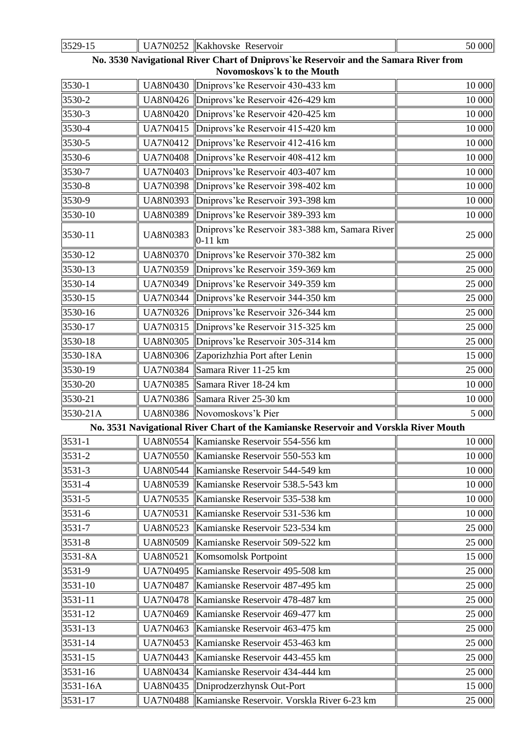| 3529-15  |                 | UA7N0252 Kakhovske Reservoir                                                                                        | 50 000 |
|----------|-----------------|---------------------------------------------------------------------------------------------------------------------|--------|
|          |                 | No. 3530 Navigational River Chart of Dniprovs' ke Reservoir and the Samara River from<br>Novomoskovs'k to the Mouth |        |
| 3530-1   |                 | UA8N0430 Dniprovs' ke Reservoir 430-433 km                                                                          | 10 000 |
| 3530-2   | <b>UA8N0426</b> | Dniprovs'ke Reservoir 426-429 km                                                                                    | 10 000 |
| 3530-3   | <b>UA8N0420</b> | Dniprovs'ke Reservoir 420-425 km                                                                                    | 10 000 |
| 3530-4   | <b>UA7N0415</b> | Dniprovs'ke Reservoir 415-420 km                                                                                    | 10 000 |
| 3530-5   | <b>UA7N0412</b> | Dniprovs'ke Reservoir 412-416 km                                                                                    | 10 000 |
| 3530-6   | <b>UA7N0408</b> | Dniprovs'ke Reservoir 408-412 km                                                                                    | 10 000 |
| 3530-7   | <b>UA7N0403</b> | Dniprovs'ke Reservoir 403-407 km                                                                                    | 10 000 |
| 3530-8   | <b>UA7N0398</b> | Dniprovs'ke Reservoir 398-402 km                                                                                    | 10 000 |
| 3530-9   | <b>UA8N0393</b> | Dniprovs'ke Reservoir 393-398 km                                                                                    | 10 000 |
| 3530-10  | <b>UA8N0389</b> | Dniprovs'ke Reservoir 389-393 km                                                                                    | 10 000 |
| 3530-11  | <b>UA8N0383</b> | Dniprovs'ke Reservoir 383-388 km, Samara River<br>$0-11$ km                                                         | 25 000 |
| 3530-12  | <b>UA8N0370</b> | Dniprovs'ke Reservoir 370-382 km                                                                                    | 25 000 |
| 3530-13  | <b>UA7N0359</b> | Dniprovs'ke Reservoir 359-369 km                                                                                    | 25 000 |
| 3530-14  | <b>UA7N0349</b> | Dniprovs'ke Reservoir 349-359 km                                                                                    | 25 000 |
| 3530-15  | <b>UA7N0344</b> | Dniprovs'ke Reservoir 344-350 km                                                                                    | 25 000 |
| 3530-16  | <b>UA7N0326</b> | Dniprovs'ke Reservoir 326-344 km                                                                                    | 25 000 |
| 3530-17  | <b>UA7N0315</b> | Dniprovs'ke Reservoir 315-325 km                                                                                    | 25 000 |
| 3530-18  | <b>UA8N0305</b> | Dniprovs'ke Reservoir 305-314 km                                                                                    | 25 000 |
| 3530-18A | <b>UA8N0306</b> | Zaporizhzhia Port after Lenin                                                                                       | 15 000 |
| 3530-19  | <b>UA7N0384</b> | Samara River 11-25 km                                                                                               | 25 000 |
| 3530-20  | <b>UA7N0385</b> | Samara River 18-24 km                                                                                               | 10 000 |
| 3530-21  | <b>UA7N0386</b> | Samara River 25-30 km                                                                                               | 10 000 |
| 3530-21A |                 | UA8N0386 Novomoskovs'k Pier                                                                                         | 5 000  |
|          |                 | No. 3531 Navigational River Chart of the Kamianske Reservoir and Vorskla River Mouth                                |        |
| 3531-1   | <b>UA8N0554</b> | Kamianske Reservoir 554-556 km                                                                                      | 10 000 |
| 3531-2   | <b>UA7N0550</b> | Kamianske Reservoir 550-553 km                                                                                      | 10 000 |
| 3531-3   |                 | UA8N0544  Kamianske Reservoir 544-549 km                                                                            | 10 000 |
| 3531-4   | <b>UA8N0539</b> | Kamianske Reservoir 538.5-543 km                                                                                    | 10 000 |
| 3531-5   | <b>UA7N0535</b> | Kamianske Reservoir 535-538 km                                                                                      | 10 000 |
| 3531-6   | <b>UA7N0531</b> | Kamianske Reservoir 531-536 km                                                                                      | 10 000 |
| 3531-7   | <b>UA8N0523</b> | Kamianske Reservoir 523-534 km                                                                                      | 25 000 |
| 3531-8   | <b>UA8N0509</b> | Kamianske Reservoir 509-522 km                                                                                      | 25 000 |
| 3531-8A  | <b>UA8N0521</b> | Komsomolsk Portpoint                                                                                                | 15 000 |
| 3531-9   | <b>UA7N0495</b> | Kamianske Reservoir 495-508 km                                                                                      | 25 000 |
| 3531-10  | <b>UA7N0487</b> | Kamianske Reservoir 487-495 km                                                                                      | 25 000 |
| 3531-11  | <b>UA7N0478</b> | Kamianske Reservoir 478-487 km                                                                                      | 25 000 |
| 3531-12  | <b>UA7N0469</b> | Kamianske Reservoir 469-477 km                                                                                      | 25 000 |
| 3531-13  | <b>UA7N0463</b> | Kamianske Reservoir 463-475 km                                                                                      | 25 000 |
| 3531-14  | <b>UA7N0453</b> | Kamianske Reservoir 453-463 km                                                                                      | 25 000 |
| 3531-15  | <b>UA7N0443</b> | Kamianske Reservoir 443-455 km                                                                                      | 25 000 |
| 3531-16  | <b>UA8N0434</b> | Kamianske Reservoir 434-444 km                                                                                      | 25 000 |
| 3531-16A | UA8N0435        | Dniprodzerzhynsk Out-Port                                                                                           | 15 000 |
| 3531-17  | <b>UA7N0488</b> | Kamianske Reservoir. Vorskla River 6-23 km                                                                          | 25 000 |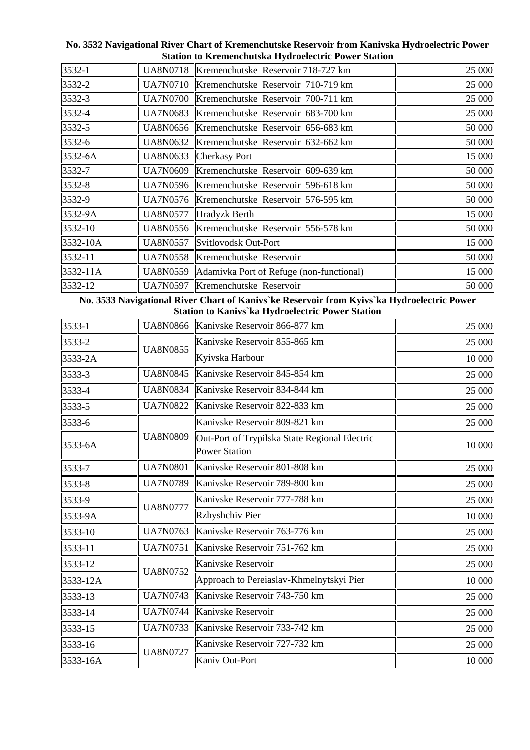| 3532-1       | UA8N0718  Kremenchutske Reservoir 718-727 km        | 25 000 |
|--------------|-----------------------------------------------------|--------|
| 3532-2       | UA7N0710 Kremenchutske Reservoir 710-719 km         | 25 000 |
| 3532-3       | UA7N0700 Kremenchutske Reservoir 700-711 km         | 25 000 |
| 3532-4       | UA7N0683 Kremenchutske Reservoir 683-700 km         | 25 000 |
| 3532-5       | UA8N0656 Kremenchutske Reservoir 656-683 km         | 50 000 |
| 3532-6       | UA8N0632  Kremenchutske Reservoir 632-662 km        | 50 000 |
| 3532-6A      | UA8N0633 Cherkasy Port                              | 15 000 |
| 3532-7       | UA7N0609 Kremenchutske Reservoir 609-639 km         | 50 000 |
| 3532-8       | UA7N0596 Kremenchutske Reservoir 596-618 km         | 50 000 |
| 3532-9       | UA7N0576 Kremenchutske Reservoir 576-595 km         | 50 000 |
| 3532-9A      | UA8N0577  Hradyzk Berth                             | 15 000 |
| 3532-10      | UA8N0556  Kremenchutske Reservoir 556-578 km        | 50 000 |
| $3532 - 10A$ | UA8N0557 Svitlovodsk Out-Port                       | 15 000 |
| 3532-11      | UA7N0558 Kremenchutske Reservoir                    | 50 000 |
| 3532-11A     | UA8N0559   Adamivka Port of Refuge (non-functional) | 15 000 |
| 3532-12      | UA7N0597  Kremenchutske Reservoir                   | 50 000 |

**No. 3532 Navigational River Chart of Kremenchutske Reservoir from Kanivska Hydroelectric Power Station to Kremenchutska Hydroelectric Power Station**

**No. 3533 Navigational River Chart of Kanivs`ke Reservoir from Kyivs`ka Hydroelectric Power Station to Kanivs`ka Hydroelectric Power Station**

| 3533-1   | <b>UA8N0866</b> | Kanivske Reservoir 866-877 km                                         | 25 000 |
|----------|-----------------|-----------------------------------------------------------------------|--------|
| 3533-2   |                 | Kanivske Reservoir 855-865 km                                         | 25 000 |
| 3533-2A  | <b>UA8N0855</b> | Kyivska Harbour                                                       | 10 000 |
| 3533-3   | <b>UA8N0845</b> | Kanivske Reservoir 845-854 km                                         | 25 000 |
| 3533-4   | <b>UA8N0834</b> | Kanivske Reservoir 834-844 km                                         | 25 000 |
| 3533-5   | <b>UA7N0822</b> | Kanivske Reservoir 822-833 km                                         | 25 000 |
| 3533-6   |                 | Kanivske Reservoir 809-821 km                                         | 25 000 |
| 3533-6A  | <b>UA8N0809</b> | Out-Port of Trypilska State Regional Electric<br><b>Power Station</b> | 10 000 |
| 3533-7   | <b>UA7N0801</b> | Kanivske Reservoir 801-808 km                                         | 25 000 |
| 3533-8   | <b>UA7N0789</b> | Kanivske Reservoir 789-800 km                                         | 25 000 |
| 3533-9   | <b>UA8N0777</b> | Kanivske Reservoir 777-788 km                                         | 25 000 |
| 3533-9A  |                 | Rzhyshchiv Pier                                                       | 10 000 |
| 3533-10  | <b>UA7N0763</b> | Kanivske Reservoir 763-776 km                                         | 25 000 |
| 3533-11  | <b>UA7N0751</b> | Kanivske Reservoir 751-762 km                                         | 25 000 |
| 3533-12  | <b>UA8N0752</b> | Kanivske Reservoir                                                    | 25 000 |
| 3533-12A |                 | Approach to Pereiaslav-Khmelnytskyi Pier                              | 10 000 |
| 3533-13  | <b>UA7N0743</b> | Kanivske Reservoir 743-750 km                                         | 25 000 |
| 3533-14  | <b>UA7N0744</b> | Kanivske Reservoir                                                    | 25 000 |
| 3533-15  | <b>UA7N0733</b> | Kanivske Reservoir 733-742 km                                         | 25 000 |
| 3533-16  | <b>UA8N0727</b> | Kanivske Reservoir 727-732 km                                         | 25 000 |
| 3533-16A |                 | Kaniv Out-Port                                                        | 10 000 |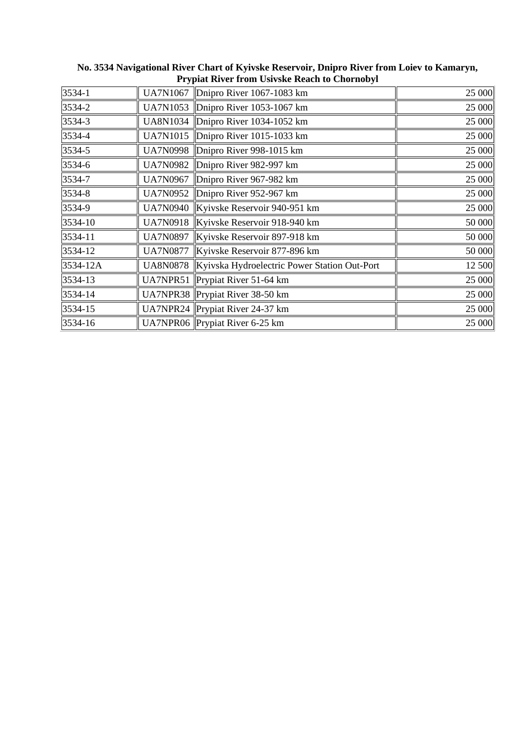| UA7N1067        |                              | 25 000                                                                                                                                                                                                                                                                                                                                                                                                                        |
|-----------------|------------------------------|-------------------------------------------------------------------------------------------------------------------------------------------------------------------------------------------------------------------------------------------------------------------------------------------------------------------------------------------------------------------------------------------------------------------------------|
| UA7N1053        |                              | 25 000                                                                                                                                                                                                                                                                                                                                                                                                                        |
| <b>UA8N1034</b> |                              | 25 000                                                                                                                                                                                                                                                                                                                                                                                                                        |
| <b>UA7N1015</b> | Dnipro River 1015-1033 km    | 25 000                                                                                                                                                                                                                                                                                                                                                                                                                        |
| <b>UA7N0998</b> | Dnipro River 998-1015 km     | 25 000                                                                                                                                                                                                                                                                                                                                                                                                                        |
| <b>UA7N0982</b> |                              | 25 000                                                                                                                                                                                                                                                                                                                                                                                                                        |
| <b>UA7N0967</b> | Dnipro River 967-982 km      | 25 000                                                                                                                                                                                                                                                                                                                                                                                                                        |
| <b>UA7N0952</b> |                              | 25 000                                                                                                                                                                                                                                                                                                                                                                                                                        |
| <b>UA7N0940</b> |                              | 25 000                                                                                                                                                                                                                                                                                                                                                                                                                        |
| <b>UA7N0918</b> | Kyivske Reservoir 918-940 km | 50 000                                                                                                                                                                                                                                                                                                                                                                                                                        |
| <b>UA7N0897</b> |                              | 50 000                                                                                                                                                                                                                                                                                                                                                                                                                        |
| <b>UA7N0877</b> |                              | 50 000                                                                                                                                                                                                                                                                                                                                                                                                                        |
| <b>UA8N0878</b> |                              | 12 500                                                                                                                                                                                                                                                                                                                                                                                                                        |
| UA7NPR51        |                              | 25 000                                                                                                                                                                                                                                                                                                                                                                                                                        |
|                 |                              | 25 000                                                                                                                                                                                                                                                                                                                                                                                                                        |
|                 |                              | 25 000                                                                                                                                                                                                                                                                                                                                                                                                                        |
|                 |                              | 25 000                                                                                                                                                                                                                                                                                                                                                                                                                        |
|                 |                              | Dnipro River 1067-1083 km<br>Dnipro River 1053-1067 km<br>Dnipro River 1034-1052 km<br>Dnipro River 982-997 km<br>Dnipro River 952-967 km<br>Kyivske Reservoir 940-951 km<br>Kyivske Reservoir 897-918 km<br>Kyivske Reservoir 877-896 km<br>Kyivska Hydroelectric Power Station Out-Port<br>Prypiat River $51-64$ km<br>UA7NPR38 Prypiat River 38-50 km<br>UA7NPR24 Prypiat River 24-37 km<br>UA7NPR06 Prypiat River 6-25 km |

**No. 3534 Navigational River Chart of Kyivske Reservoir, Dnipro River from Loiev to Kamaryn, Prypiat River from Usivske Reach to Chornobyl**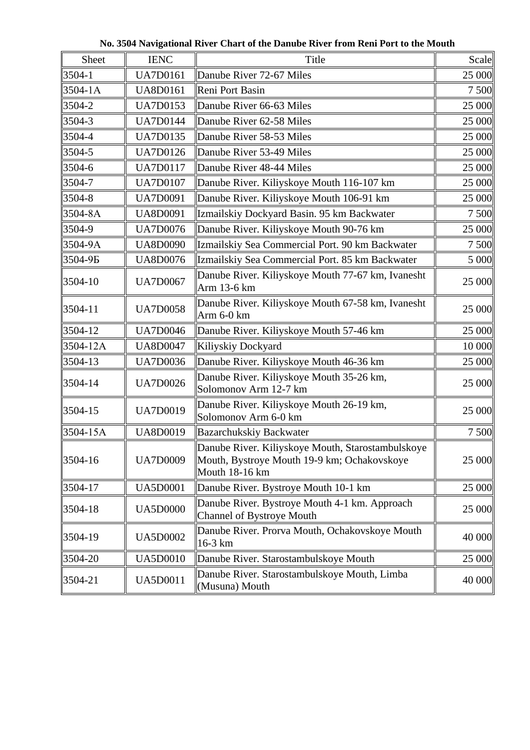**No. 3504 Navigational River Chart of the Danube River from Reni Port to the Mouth**

| Sheet       | <b>IENC</b>     | Title                                                                                                              | Scale  |
|-------------|-----------------|--------------------------------------------------------------------------------------------------------------------|--------|
| 3504-1      | <b>UA7D0161</b> | Danube River 72-67 Miles                                                                                           | 25 000 |
| $3504 - 1A$ | <b>UA8D0161</b> | Reni Port Basin                                                                                                    | 7 500  |
| 3504-2      | <b>UA7D0153</b> | Danube River 66-63 Miles                                                                                           | 25 000 |
| 3504-3      | <b>UA7D0144</b> | Danube River 62-58 Miles                                                                                           | 25 000 |
| 3504-4      | <b>UA7D0135</b> | Danube River 58-53 Miles                                                                                           | 25 000 |
| 3504-5      | <b>UA7D0126</b> | Danube River 53-49 Miles                                                                                           | 25 000 |
| 3504-6      | <b>UA7D0117</b> | Danube River 48-44 Miles                                                                                           | 25 000 |
| 3504-7      | <b>UA7D0107</b> | Danube River. Kiliyskoye Mouth 116-107 km                                                                          | 25 000 |
| 3504-8      | <b>UA7D0091</b> | Danube River. Kiliyskoye Mouth 106-91 km                                                                           | 25 000 |
| 3504-8A     | <b>UA8D0091</b> | Izmailskiy Dockyard Basin. 95 km Backwater                                                                         | 7 500  |
| 3504-9      | <b>UA7D0076</b> | Danube River. Kiliyskoye Mouth 90-76 km                                                                            | 25 000 |
| 3504-9A     | <b>UA8D0090</b> | Izmailskiy Sea Commercial Port. 90 km Backwater                                                                    | 7 500  |
| 3504-9Б     | <b>UA8D0076</b> | Izmailskiy Sea Commercial Port. 85 km Backwater                                                                    | 5 000  |
| $3504-10$   | <b>UA7D0067</b> | Danube River. Kiliyskoye Mouth 77-67 km, Ivanesht<br>Arm 13-6 km                                                   | 25 000 |
| $ 3504-11$  | <b>UA7D0058</b> | Danube River. Kiliyskoye Mouth 67-58 km, Ivanesht<br>Arm 6-0 km                                                    | 25 000 |
| 3504-12     | <b>UA7D0046</b> | Danube River. Kiliyskoye Mouth 57-46 km                                                                            | 25 000 |
| 3504-12A    | <b>UA8D0047</b> | Kiliyskiy Dockyard                                                                                                 | 10 000 |
| 3504-13     | <b>UA7D0036</b> | Danube River. Kiliyskoye Mouth 46-36 km                                                                            | 25 000 |
| 3504-14     | <b>UA7D0026</b> | Danube River. Kiliyskoye Mouth 35-26 km,<br>Solomonov Arm 12-7 km                                                  | 25 000 |
| 3504-15     | <b>UA7D0019</b> | Danube River. Kiliyskoye Mouth 26-19 km,<br>Solomonov Arm 6-0 km                                                   | 25 000 |
| 3504-15A    | <b>UA8D0019</b> | <b>Bazarchukskiy Backwater</b>                                                                                     | 7 500  |
| 3504-16     | <b>UA7D0009</b> | Danube River. Kiliyskoye Mouth, Starostambulskoye<br>Mouth, Bystroye Mouth 19-9 km; Ochakovskoye<br>Mouth 18-16 km | 25 000 |
| 3504-17     | <b>UA5D0001</b> | Danube River. Bystroye Mouth 10-1 km                                                                               | 25 000 |
| $ 3504-18$  | <b>UA5D0000</b> | Danube River. Bystroye Mouth 4-1 km. Approach<br>Channel of Bystroye Mouth                                         | 25 000 |
| $3504-19$   | <b>UA5D0002</b> | Danube River. Prorva Mouth, Ochakovskoye Mouth<br>$16-3$ km                                                        | 40 000 |
| 3504-20     | <b>UA5D0010</b> | Danube River. Starostambulskoye Mouth                                                                              | 25 000 |
| $3504 - 21$ | <b>UA5D0011</b> | Danube River. Starostambulskoye Mouth, Limba<br>(Musuna) Mouth                                                     | 40 000 |